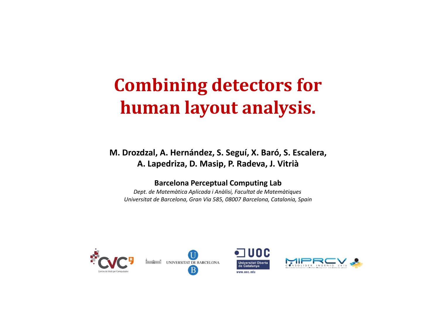### **Combining detectors for human layout analysis.**

**M. Drozdzal Drozdzal, A. Hernández, S. Seguí, X. Baró, S. Escalera, A. Lapedriza, D. Masip, P. Radeva, J. Vitrià**

#### **Barcelona Perceptual Computing Lab**

Dept. de Matemàtica Aplicada i Anàlisi, Facultat de Matemàtiques *Universitat de Barcelona, Gran Via 585, 08007 Barcelona, Catalonia, Spain*







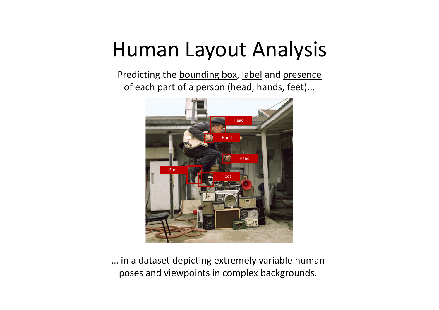## Human Layout Analysis

Predicting the **bounding box**, label and presence of each part of a person (head, hands, feet)...



… in <sup>a</sup> dataset depicting extremely variable human poses and viewpoints in complex backgrounds.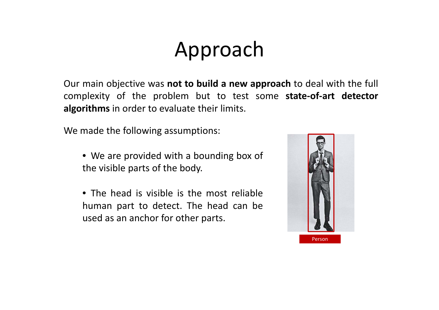# Approach

Our main objective was **not to build <sup>a</sup> new approach** to deal with the full complexity of the problem but to test some **state‐of‐art detector algorithms** in order to evaluate their limits.

We made the following assumptions:

- We are provided with <sup>a</sup> bounding box of the visible parts of the body.
- The head is visible is the most reliable human part to detect. The head can be used as an anchor for other parts.

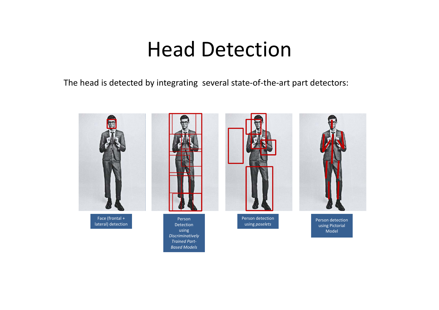### Head Detection

The head is detected by integrating several state-of-the-art part detectors:

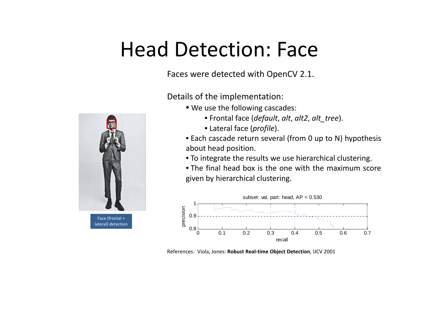## Head Detection: Face

Faces were detected with OpenCV 2.1.



Details of the implementation:

- We use the following cascades:
	- Frontal face (*default* , *alt*, *alt2*, *alt tree alt\_tree*).
	- Lateral face (*profile*).
- Each cascade return several (from 0 up to N) hypothesis about head position.
- To integrate the results we use hierarchical clustering.
- The final head box is the one with the maximum scoregiven by hierarchical clustering.



References: Viola, Jones: **Robust Real‐time Object Detection**, IJCV 2001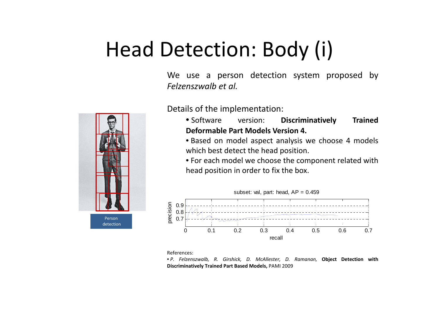# Head Detection: Body (i)

We use a person detection system proposed by *F l lb <sup>e</sup> zenszwalbet al.*



Details of the implementation:

- Software version**Discriminatively** Trained **Deformable Part Models Version 4.**
- Based on model aspect analysis we choose 4 models which best detect the head position.

• For each model we choose the component related with head position in order to fix the box.



References:

• P. Felzenszwalb, R. Girshick, D. McAllester, D. Ramanan, Object Detection with **Discriminatively Trained Part Based Models,** PAMI 2009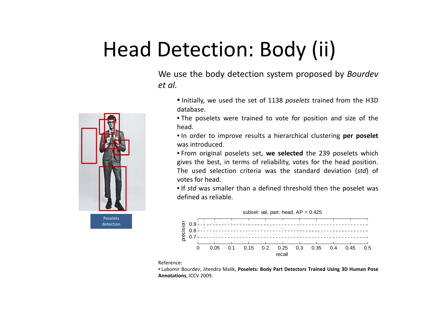# Head Detection: Body (ii)

We use the body detection system proposed by *Bourdev et al.*

- Initially, we used the set of 1138 *poselets* trained from the H3D database.
- The poselets were trained to vote for position and size of the head.
- In order to improve results <sup>a</sup> hierarchical clustering **per poselet** was introduced.
- From original poselets set, **we selected** the 239 poselets which gives the best, in terms of reliability, votes for the head position. The used selection criteria was the standard deviation (*std*) of votes for head.

• If *std* was smaller than <sup>a</sup> defined threshold then the poselet was defined as reliable.



Reference:

• Lubomir Bourdev, Jitendra Malik, **Poselets: Body Part Detectors Trained Using 3D Human Pose Annotations**, ICCV 2009.

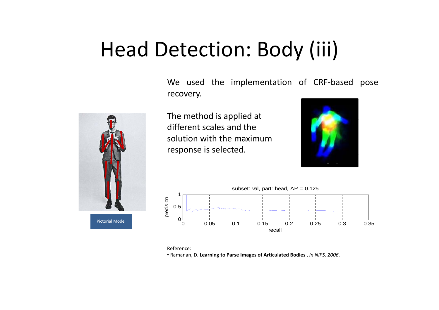## Head Detection: Body (iii)

We used the implementation of CRF‐based pose recovery.



The method is applied at different scales and thesolution with the maximumresponse is selected.





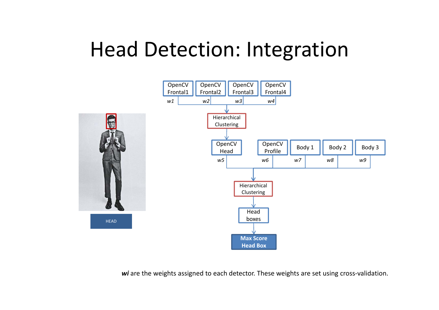## Head Detection: Integration



*wi* are the weights assigned to each detector. These weights are set using cross‐validation.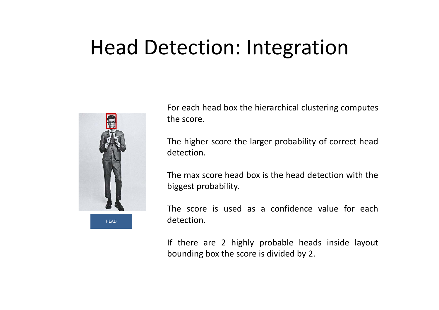## Head Detection: Integration



For each head box the hierarchical clustering computes the score.

The higher score the larger probability of correct head detection.

The max score head box is the head detection with thebiggest probability.

The score is used as <sup>a</sup> confidence value for eachdetection.

If there are 2 highly probable heads inside layout bounding box the score is divided by 2.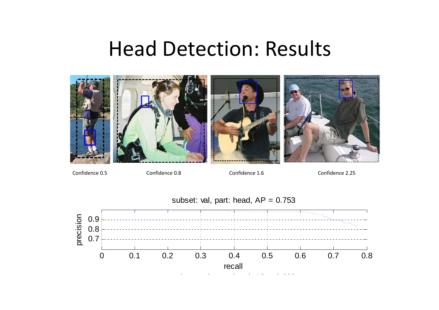#### Head Detection: Results



Confidence 0.5

Confidence 0.8 Confidence 1.6 Confidence 2.25

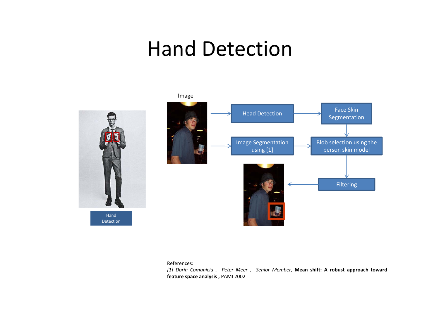#### Hand Detection





References:

[1] Dorin Comaniciu, Peter Meer, Senior Member, Mean shift: A robust approach toward **feature space analysis ,** PAMI 2002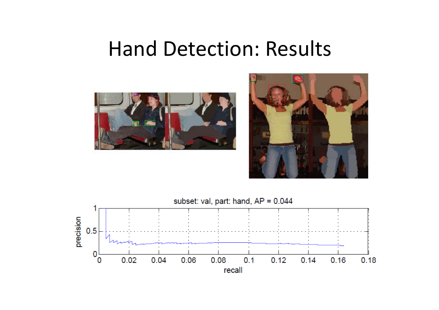#### Hand Detection: Results





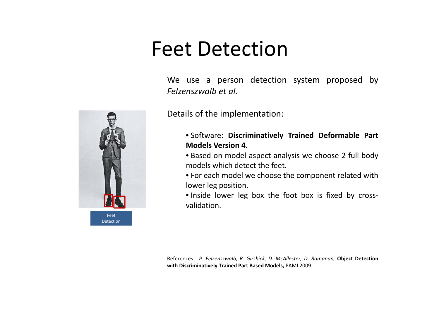## Feet Detection

We use a person detection system proposed by *Felzenszwalb et al.*



Details of the implementation:

- Software: **Discriminatively Trained Deformable Part Models Version 4.**
- Based on model aspect analysis we choose 2 full body models which detect the feet.
- For each model we choose the component related with lower leg position.
- Inside lower leg box the foot box is fixed by cross‐ validation.

References: P. Felzenszwalb, R. Girshick, D. McAllester, D. Ramanan, Object Detection **with Discriminatively Trained Part Based Models,** PAMI 2009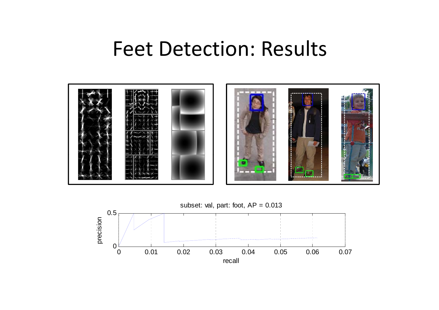#### Feet Detection: Results



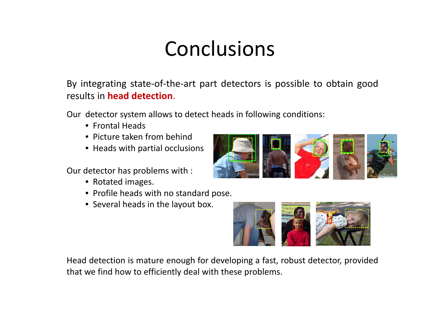# Conclusions

By integrating state‐of‐the‐art part detectors is possible to obtain good results in **head detection**.

Our detector system allows to detect heads in following conditions:

- Frontal Heads
- Picture taken from behind
- Heads with partial occlusions

Our detector has problems with :

- Rotated images.
- Profile heads with no standard pose.
- Several heads in the layout box.



Head detection is mature enough for developing a fast, robust detector, provided that we find how to efficiently deal with these problems.

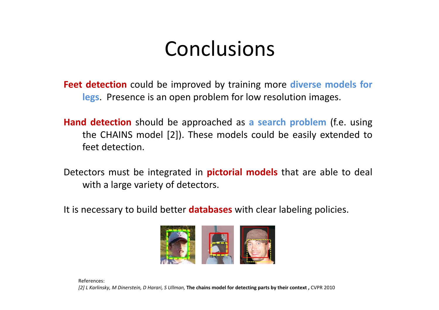## Conclusions

**Feet detection** could be improved by training more **diverse models for legs**. Presence is an open problem for low resolution images.

- **Hand detection** should be approached as **a** search problem (f.e. using the CHAINS model [2]). These models could be easily extended to feet detection.
- Detectors must be integrated in **pictorial models** that are able to deal with <sup>a</sup> large variety of detectors.
- It is necessary to build better **databases** with clear labeling policies.